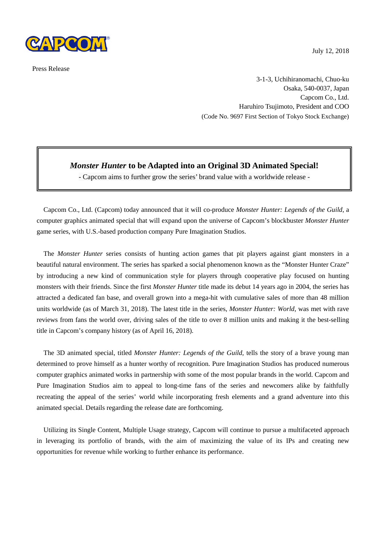

Press Release

July 12, 2018

3-1-3, Uchihiranomachi, Chuo-ku Osaka, 540-0037, Japan Capcom Co., Ltd. Haruhiro Tsujimoto, President and COO (Code No. 9697 First Section of Tokyo Stock Exchange)

## *Monster Hunter* **to be Adapted into an Original 3D Animated Special!**

- Capcom aims to further grow the series' brand value with a worldwide release -

Capcom Co., Ltd. (Capcom) today announced that it will co-produce *Monster Hunter: Legends of the Guild*, a computer graphics animated special that will expand upon the universe of Capcom's blockbuster *Monster Hunter* game series, with U.S.-based production company Pure Imagination Studios.

The *Monster Hunter* series consists of hunting action games that pit players against giant monsters in a beautiful natural environment. The series has sparked a social phenomenon known as the "Monster Hunter Craze" by introducing a new kind of communication style for players through cooperative play focused on hunting monsters with their friends. Since the first *Monster Hunter* title made its debut 14 years ago in 2004, the series has attracted a dedicated fan base, and overall grown into a mega-hit with cumulative sales of more than 48 million units worldwide (as of March 31, 2018). The latest title in the series, *Monster Hunter: World*, was met with rave reviews from fans the world over, driving sales of the title to over 8 million units and making it the best-selling title in Capcom's company history (as of April 16, 2018).

The 3D animated special, titled *Monster Hunter: Legends of the Guild*, tells the story of a brave young man determined to prove himself as a hunter worthy of recognition. Pure Imagination Studios has produced numerous computer graphics animated works in partnership with some of the most popular brands in the world. Capcom and Pure Imagination Studios aim to appeal to long-time fans of the series and newcomers alike by faithfully recreating the appeal of the series' world while incorporating fresh elements and a grand adventure into this animated special. Details regarding the release date are forthcoming.

Utilizing its Single Content, Multiple Usage strategy, Capcom will continue to pursue a multifaceted approach in leveraging its portfolio of brands, with the aim of maximizing the value of its IPs and creating new opportunities for revenue while working to further enhance its performance.